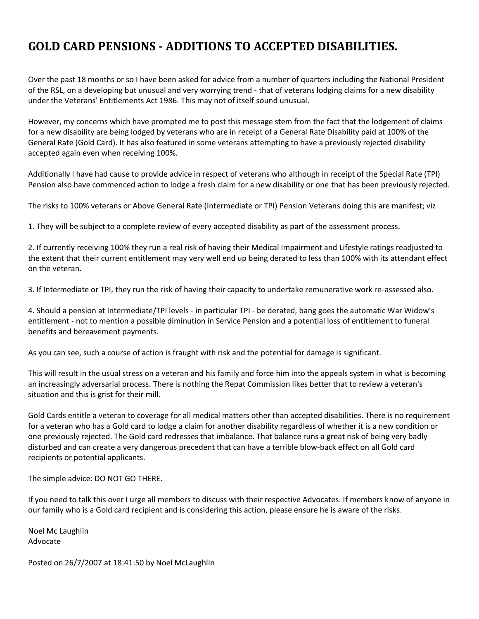## **GOLD CARD PENSIONS - ADDITIONS TO ACCEPTED DISABILITIES.**

Over the past 18 months or so I have been asked for advice from a number of quarters including the National President of the RSL, on a developing but unusual and very worrying trend - that of veterans lodging claims for a new disability under the Veterans' Entitlements Act 1986. This may not of itself sound unusual.

However, my concerns which have prompted me to post this message stem from the fact that the lodgement of claims for a new disability are being lodged by veterans who are in receipt of a General Rate Disability paid at 100% of the General Rate (Gold Card). It has also featured in some veterans attempting to have a previously rejected disability accepted again even when receiving 100%.

Additionally I have had cause to provide advice in respect of veterans who although in receipt of the Special Rate (TPI) Pension also have commenced action to lodge a fresh claim for a new disability or one that has been previously rejected.

The risks to 100% veterans or Above General Rate (Intermediate or TPI) Pension Veterans doing this are manifest; viz

1. They will be subject to a complete review of every accepted disability as part of the assessment process.

2. If currently receiving 100% they run a real risk of having their Medical Impairment and Lifestyle ratings readjusted to the extent that their current entitlement may very well end up being derated to less than 100% with its attendant effect on the veteran.

3. If Intermediate or TPI, they run the risk of having their capacity to undertake remunerative work re-assessed also.

4. Should a pension at Intermediate/TPI levels - in particular TPI - be derated, bang goes the automatic War Widow's entitlement - not to mention a possible diminution in Service Pension and a potential loss of entitlement to funeral benefits and bereavement payments.

As you can see, such a course of action is fraught with risk and the potential for damage is significant.

This will result in the usual stress on a veteran and his family and force him into the appeals system in what is becoming an increasingly adversarial process. There is nothing the Repat Commission likes better that to review a veteran's situation and this is grist for their mill.

Gold Cards entitle a veteran to coverage for all medical matters other than accepted disabilities. There is no requirement for a veteran who has a Gold card to lodge a claim for another disability regardless of whether it is a new condition or one previously rejected. The Gold card redresses that imbalance. That balance runs a great risk of being very badly disturbed and can create a very dangerous precedent that can have a terrible blow-back effect on all Gold card recipients or potential applicants.

The simple advice: DO NOT GO THERE.

If you need to talk this over I urge all members to discuss with their respective Advocates. If members know of anyone in our family who is a Gold card recipient and is considering this action, please ensure he is aware of the risks.

Noel Mc Laughlin Advocate

Posted on 26/7/2007 at 18:41:50 by Noel McLaughlin